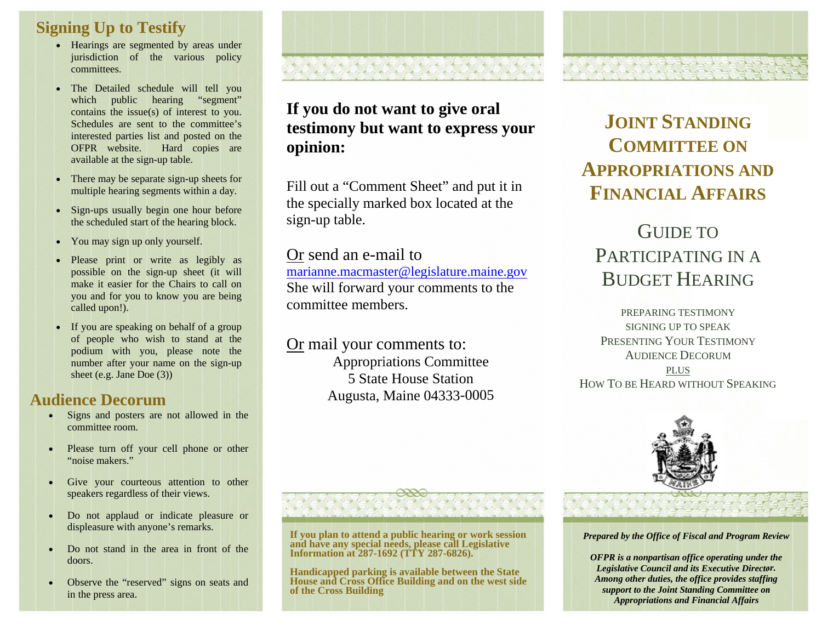## **Signing Up to Testify**

- Hearings are segmented by areas under jurisdiction of the various policy committees.
- The Detailed schedule will tell you which public hearing "segment" contains the issue(s) of interest to you. Schedules are sent to the committee's interested parties list and posted on the OFPR website. Hard copies are available at the sign-up table.
- There may be separate sign-up sheets for multiple hearing segments within a day.
- Sign-ups usually begin one hour before the scheduled start of the hearing block.
- You may sign up only yourself.
- · Please print or write as legibly as possible on the sign-up sheet (it will make it easier for the Chairs to call on you and for you to know you are being called upon!).
- If you are speaking on behalf of a group of people who wish to stand at the podium with you, please note the number after your name on the sign-up sheet (e.g. Jane Doe  $(3)$ )

# **Audience Decorum**

- Signs and posters are not allowed in the  $\bullet$ committee room.
- Please turn off your cell phone or other "noise makers."
- Give your courteous attention to other  $\bullet$ speakers regardless of their views.
- Do not applaud or indicate pleasure or  $\bullet$ displeasure with anyone's remarks.
- Do not stand in the area in front of the doors.
- Observe the "reserved" signs on seats and in the press area.

# If you do not want to give oral testimony but want to express your opinion:

Fill out a "Comment Sheet" and put it in the specially marked box located at the sign-up table.

### Or send an e-mail to

marianne.macmaster@legislature.maine.gov She will forward your comments to the committee members

Or mail your comments to: **Appropriations Committee 5 State House Station** Augusta, Maine 04333-0005

# **JOINT STANDING COMMITTEE ON APPROPRIATIONS AND FINANCIAL AFFAIRS**

# GUIDE TO PARTICIPATING IN A **BUDGET HEARING**

PREPARING TESTIMONY SIGNING UP TO SPEAK PRESENTING YOUR TESTIMONY **AUDIENCE DECORUM** 

**PLUS** HOW TO BE HEARD WITHOUT SPEAKING



Prepared by the Office of Fiscal and Program Review

199999999999999999999999

**OFPR** is a nonpartisan office operating under the Legislative Council and its Executive Director. Among other duties, the office provides staffing support to the Joint Standing Committee on **Appropriations and Financial Affairs** 

#### If you plan to attend a public hearing or work session and have any special needs, please call Legislative Information at 287-1692 (TTY 287-6826).

Handicapped parking is available between the State House and Cross Office Building and on the west side of the Cross Building